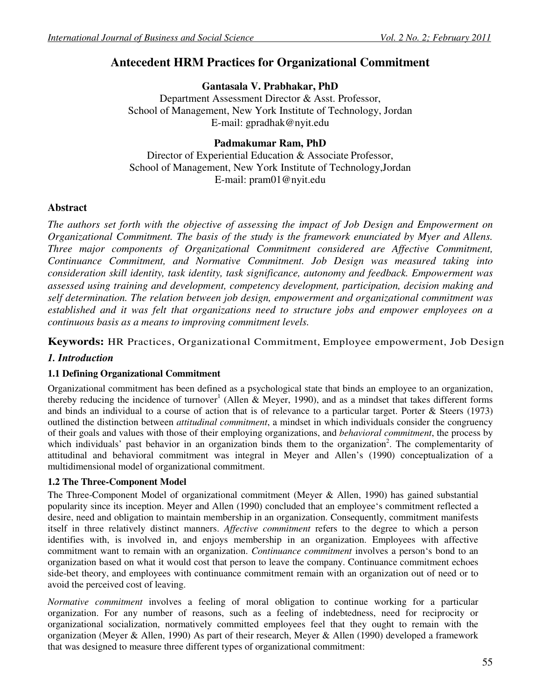# **Antecedent HRM Practices for Organizational Commitment**

**Gantasala V. Prabhakar, PhD**  Department Assessment Director & Asst. Professor, School of Management, New York Institute of Technology, Jordan E-mail: gpradhak@nyit.edu

# **Padmakumar Ram, PhD**

Director of Experiential Education & Associate Professor, School of Management, New York Institute of Technology,Jordan E-mail: pram01@nyit.edu

# **Abstract**

*The authors set forth with the objective of assessing the impact of Job Design and Empowerment on Organizational Commitment. The basis of the study is the framework enunciated by Myer and Allens. Three major components of Organizational Commitment considered are Affective Commitment, Continuance Commitment, and Normative Commitment. Job Design was measured taking into consideration skill identity, task identity, task significance, autonomy and feedback. Empowerment was assessed using training and development, competency development, participation, decision making and self determination. The relation between job design, empowerment and organizational commitment was established and it was felt that organizations need to structure jobs and empower employees on a continuous basis as a means to improving commitment levels.* 

**Keywords:** HR Practices, Organizational Commitment, Employee empowerment, Job Design

# *1. Introduction*

# **1.1 Defining Organizational Commitment**

Organizational commitment has been defined as a psychological state that binds an employee to an organization, thereby reducing the incidence of turnover<sup>1</sup> (Allen & Meyer, 1990), and as a mindset that takes different forms and binds an individual to a course of action that is of relevance to a particular target. Porter & Steers (1973) outlined the distinction between *attitudinal commitment*, a mindset in which individuals consider the congruency of their goals and values with those of their employing organizations, and *behavioral commitment*, the process by which individuals' past behavior in an organization binds them to the organization<sup>2</sup>. The complementarity of attitudinal and behavioral commitment was integral in Meyer and Allen's (1990) conceptualization of a multidimensional model of organizational commitment.

# **1.2 The Three-Component Model**

The Three-Component Model of organizational commitment (Meyer & Allen, 1990) has gained substantial popularity since its inception. Meyer and Allen (1990) concluded that an employee's commitment reflected a desire, need and obligation to maintain membership in an organization. Consequently, commitment manifests itself in three relatively distinct manners. *Affective commitment* refers to the degree to which a person identifies with, is involved in, and enjoys membership in an organization. Employees with affective commitment want to remain with an organization. *Continuance commitment* involves a person's bond to an organization based on what it would cost that person to leave the company. Continuance commitment echoes side-bet theory, and employees with continuance commitment remain with an organization out of need or to avoid the perceived cost of leaving.

*Normative commitment* involves a feeling of moral obligation to continue working for a particular organization. For any number of reasons, such as a feeling of indebtedness, need for reciprocity or organizational socialization, normatively committed employees feel that they ought to remain with the organization (Meyer & Allen, 1990) As part of their research, Meyer & Allen (1990) developed a framework that was designed to measure three different types of organizational commitment: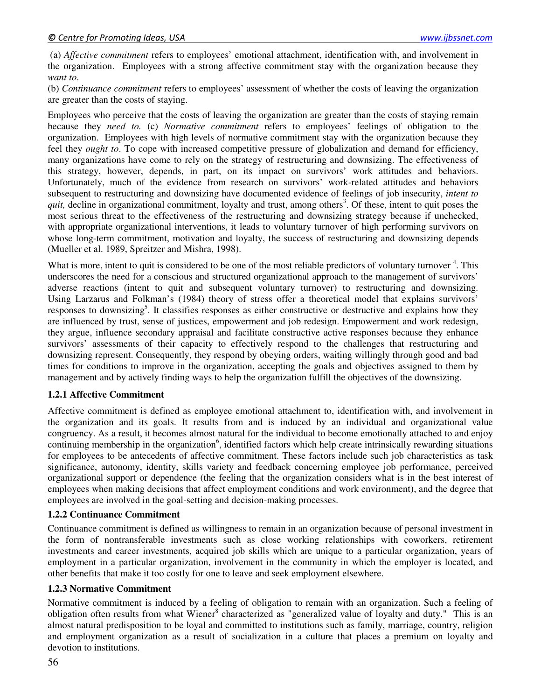(a) *Affective commitment* refers to employees' emotional attachment, identification with, and involvement in the organization. Employees with a strong affective commitment stay with the organization because they *want to*.

(b) *Continuance commitment* refers to employees' assessment of whether the costs of leaving the organization are greater than the costs of staying.

Employees who perceive that the costs of leaving the organization are greater than the costs of staying remain because they *need to.* (c) *Normative commitment* refers to employees' feelings of obligation to the organization. Employees with high levels of normative commitment stay with the organization because they feel they *ought to*. To cope with increased competitive pressure of globalization and demand for efficiency, many organizations have come to rely on the strategy of restructuring and downsizing. The effectiveness of this strategy, however, depends, in part, on its impact on survivors' work attitudes and behaviors. Unfortunately, much of the evidence from research on survivors' work-related attitudes and behaviors subsequent to restructuring and downsizing have documented evidence of feelings of job insecurity, *intent to*  quit, decline in organizational commitment, loyalty and trust, among others<sup>3</sup>. Of these, intent to quit poses the most serious threat to the effectiveness of the restructuring and downsizing strategy because if unchecked, with appropriate organizational interventions, it leads to voluntary turnover of high performing survivors on whose long-term commitment, motivation and loyalty, the success of restructuring and downsizing depends (Mueller et al. 1989, Spreitzer and Mishra, 1998).

What is more, intent to quit is considered to be one of the most reliable predictors of voluntary turnover<sup>4</sup>. This underscores the need for a conscious and structured organizational approach to the management of survivors' adverse reactions (intent to quit and subsequent voluntary turnover) to restructuring and downsizing. Using Larzarus and Folkman's (1984) theory of stress offer a theoretical model that explains survivors' responses to downsizing<sup>5</sup>. It classifies responses as either constructive or destructive and explains how they are influenced by trust, sense of justices, empowerment and job redesign. Empowerment and work redesign, they argue, influence secondary appraisal and facilitate constructive active responses because they enhance survivors' assessments of their capacity to effectively respond to the challenges that restructuring and downsizing represent. Consequently, they respond by obeying orders, waiting willingly through good and bad times for conditions to improve in the organization, accepting the goals and objectives assigned to them by management and by actively finding ways to help the organization fulfill the objectives of the downsizing.

#### **1.2.1 Affective Commitment**

Affective commitment is defined as employee emotional attachment to, identification with, and involvement in the organization and its goals. It results from and is induced by an individual and organizational value congruency. As a result, it becomes almost natural for the individual to become emotionally attached to and enjoy continuing membership in the organization<sup>6</sup>, identified factors which help create intrinsically rewarding situations for employees to be antecedents of affective commitment. These factors include such job characteristics as task significance, autonomy, identity, skills variety and feedback concerning employee job performance, perceived organizational support or dependence (the feeling that the organization considers what is in the best interest of employees when making decisions that affect employment conditions and work environment), and the degree that employees are involved in the goal-setting and decision-making processes.

#### **1.2.2 Continuance Commitment**

Continuance commitment is defined as willingness to remain in an organization because of personal investment in the form of nontransferable investments such as close working relationships with coworkers, retirement investments and career investments, acquired job skills which are unique to a particular organization, years of employment in a particular organization, involvement in the community in which the employer is located, and other benefits that make it too costly for one to leave and seek employment elsewhere.

#### **1.2.3 Normative Commitment**

Normative commitment is induced by a feeling of obligation to remain with an organization. Such a feeling of obligation often results from what Wiener<sup>8</sup> characterized as "generalized value of loyalty and duty." This is an almost natural predisposition to be loyal and committed to institutions such as family, marriage, country, religion and employment organization as a result of socialization in a culture that places a premium on loyalty and devotion to institutions.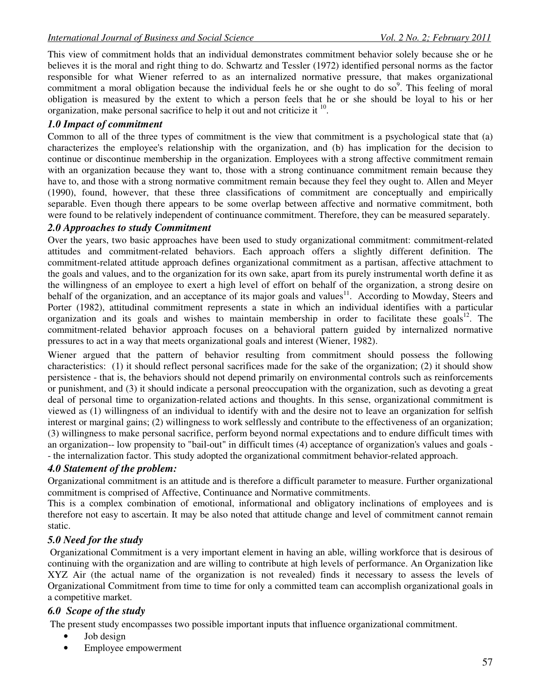This view of commitment holds that an individual demonstrates commitment behavior solely because she or he believes it is the moral and right thing to do. Schwartz and Tessler (1972) identified personal norms as the factor responsible for what Wiener referred to as an internalized normative pressure, that makes organizational commitment a moral obligation because the individual feels he or she ought to do so $9$ . This feeling of moral obligation is measured by the extent to which a person feels that he or she should be loyal to his or her organization, make personal sacrifice to help it out and not criticize it <sup>10</sup>.

# *1.0 Impact of commitment*

Common to all of the three types of commitment is the view that commitment is a psychological state that (a) characterizes the employee's relationship with the organization, and (b) has implication for the decision to continue or discontinue membership in the organization. Employees with a strong affective commitment remain with an organization because they want to, those with a strong continuance commitment remain because they have to, and those with a strong normative commitment remain because they feel they ought to. Allen and Meyer (1990), found, however, that these three classifications of commitment are conceptually and empirically separable. Even though there appears to be some overlap between affective and normative commitment, both were found to be relatively independent of continuance commitment. Therefore, they can be measured separately.

# *2.0 Approaches to study Commitment*

Over the years, two basic approaches have been used to study organizational commitment: commitment-related attitudes and commitment-related behaviors. Each approach offers a slightly different definition. The commitment-related attitude approach defines organizational commitment as a partisan, affective attachment to the goals and values, and to the organization for its own sake, apart from its purely instrumental worth define it as the willingness of an employee to exert a high level of effort on behalf of the organization, a strong desire on behalf of the organization, and an acceptance of its major goals and values<sup>11</sup>. According to Mowday, Steers and Porter (1982), attitudinal commitment represents a state in which an individual identifies with a particular organization and its goals and wishes to maintain membership in order to facilitate these goals<sup>12</sup>. The commitment-related behavior approach focuses on a behavioral pattern guided by internalized normative pressures to act in a way that meets organizational goals and interest (Wiener, 1982).

Wiener argued that the pattern of behavior resulting from commitment should possess the following characteristics: (1) it should reflect personal sacrifices made for the sake of the organization; (2) it should show persistence - that is, the behaviors should not depend primarily on environmental controls such as reinforcements or punishment, and (3) it should indicate a personal preoccupation with the organization, such as devoting a great deal of personal time to organization-related actions and thoughts. In this sense, organizational commitment is viewed as (1) willingness of an individual to identify with and the desire not to leave an organization for selfish interest or marginal gains; (2) willingness to work selflessly and contribute to the effectiveness of an organization; (3) willingness to make personal sacrifice, perform beyond normal expectations and to endure difficult times with an organization-- low propensity to "bail-out" in difficult times (4) acceptance of organization's values and goals - - the internalization factor. This study adopted the organizational commitment behavior-related approach.

# *4.0 Statement of the problem:*

Organizational commitment is an attitude and is therefore a difficult parameter to measure. Further organizational commitment is comprised of Affective, Continuance and Normative commitments.

This is a complex combination of emotional, informational and obligatory inclinations of employees and is therefore not easy to ascertain. It may be also noted that attitude change and level of commitment cannot remain static.

# *5.0 Need for the study*

 Organizational Commitment is a very important element in having an able, willing workforce that is desirous of continuing with the organization and are willing to contribute at high levels of performance. An Organization like XYZ Air (the actual name of the organization is not revealed) finds it necessary to assess the levels of Organizational Commitment from time to time for only a committed team can accomplish organizational goals in a competitive market.

# *6.0 Scope of the study*

The present study encompasses two possible important inputs that influence organizational commitment.

- Job design
- Employee empowerment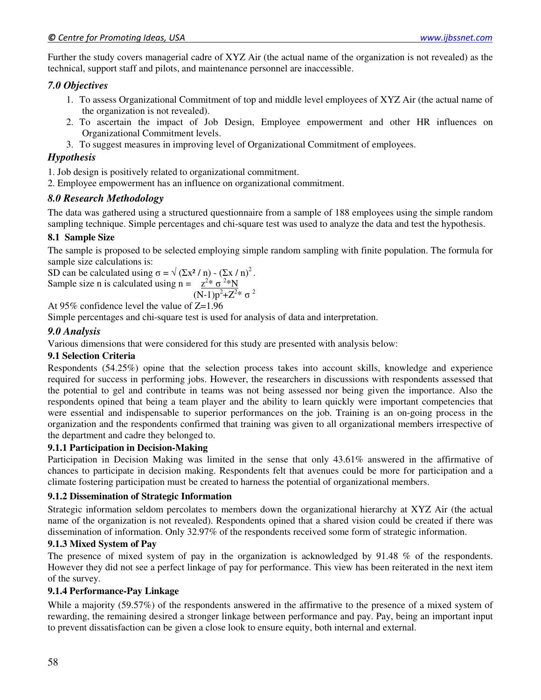Further the study covers managerial cadre of XYZ Air (the actual name of the organization is not revealed) as the technical, support staff and pilots, and maintenance personnel are inaccessible.

#### *7.0 Objectives*

- 1. To assess Organizational Commitment of top and middle level employees of XYZ Air (the actual name of the organization is not revealed).
- 2. To ascertain the impact of Job Design, Employee empowerment and other HR influences on Organizational Commitment levels.
- 3. To suggest measures in improving level of Organizational Commitment of employees.

### *Hypothesis*

1. Job design is positively related to organizational commitment.

2. Employee empowerment has an influence on organizational commitment.

### *8.0 Research Methodology*

The data was gathered using a structured questionnaire from a sample of 188 employees using the simple random sampling technique. Simple percentages and chi-square test was used to analyze the data and test the hypothesis.

#### **8.1 Sample Size**

The sample is proposed to be selected employing simple random sampling with finite population. The formula for sample size calculations is:

SD can be calculated using  $\sigma = \sqrt{\left(\sum x^2 / n\right) - \left(\sum x / n\right)^2}$ . Sample size n is calculated using n =  $z^{2*} \sigma^{2*} N$  $(N-1)p^2$ 2

At 95% confidence level the value of 
$$
Z=1.96
$$

Simple percentages and chi-square test is used for analysis of data and interpretation.

# *9.0 Analysis*

Various dimensions that were considered for this study are presented with analysis below:

#### **9.1 Selection Criteria**

Respondents (54.25%) opine that the selection process takes into account skills, knowledge and experience required for success in performing jobs. However, the researchers in discussions with respondents assessed that the potential to gel and contribute in teams was not being assessed nor being given the importance. Also the respondents opined that being a team player and the ability to learn quickly were important competencies that were essential and indispensable to superior performances on the job. Training is an on-going process in the organization and the respondents confirmed that training was given to all organizational members irrespective of the department and cadre they belonged to.

#### **9.1.1 Participation in Decision-Making**

Participation in Decision Making was limited in the sense that only 43.61% answered in the affirmative of chances to participate in decision making. Respondents felt that avenues could be more for participation and a climate fostering participation must be created to harness the potential of organizational members.

#### **9.1.2 Dissemination of Strategic Information**

Strategic information seldom percolates to members down the organizational hierarchy at XYZ Air (the actual name of the organization is not revealed). Respondents opined that a shared vision could be created if there was dissemination of information. Only 32.97% of the respondents received some form of strategic information.

#### **9.1.3 Mixed System of Pay**

The presence of mixed system of pay in the organization is acknowledged by 91.48 % of the respondents. However they did not see a perfect linkage of pay for performance. This view has been reiterated in the next item of the survey.

#### **9.1.4 Performance-Pay Linkage**

While a majority (59.57%) of the respondents answered in the affirmative to the presence of a mixed system of rewarding, the remaining desired a stronger linkage between performance and pay. Pay, being an important input to prevent dissatisfaction can be given a close look to ensure equity, both internal and external.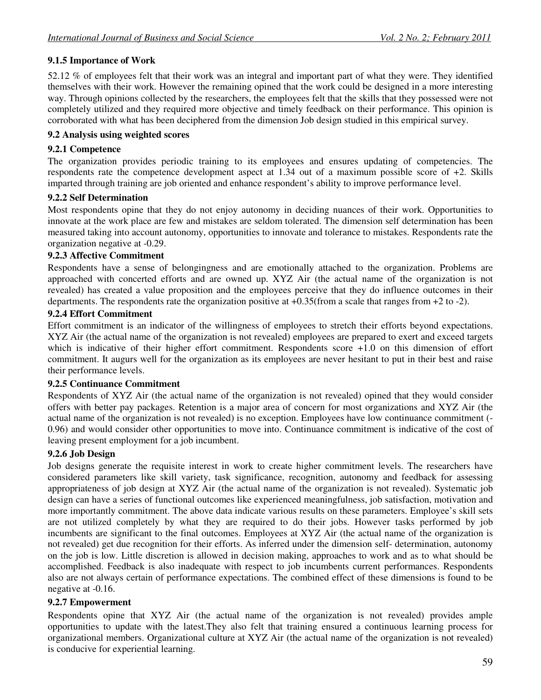# **9.1.5 Importance of Work**

52.12 % of employees felt that their work was an integral and important part of what they were. They identified themselves with their work. However the remaining opined that the work could be designed in a more interesting way. Through opinions collected by the researchers, the employees felt that the skills that they possessed were not completely utilized and they required more objective and timely feedback on their performance. This opinion is corroborated with what has been deciphered from the dimension Job design studied in this empirical survey.

#### **9.2 Analysis using weighted scores**

#### **9.2.1 Competence**

The organization provides periodic training to its employees and ensures updating of competencies. The respondents rate the competence development aspect at 1.34 out of a maximum possible score of +2. Skills imparted through training are job oriented and enhance respondent's ability to improve performance level.

#### **9.2.2 Self Determination**

Most respondents opine that they do not enjoy autonomy in deciding nuances of their work. Opportunities to innovate at the work place are few and mistakes are seldom tolerated. The dimension self determination has been measured taking into account autonomy, opportunities to innovate and tolerance to mistakes. Respondents rate the organization negative at -0.29.

### **9.2.3 Affective Commitment**

Respondents have a sense of belongingness and are emotionally attached to the organization. Problems are approached with concerted efforts and are owned up. XYZ Air (the actual name of the organization is not revealed) has created a value proposition and the employees perceive that they do influence outcomes in their departments. The respondents rate the organization positive at +0.35(from a scale that ranges from +2 to -2).

#### **9.2.4 Effort Commitment**

Effort commitment is an indicator of the willingness of employees to stretch their efforts beyond expectations. XYZ Air (the actual name of the organization is not revealed) employees are prepared to exert and exceed targets which is indicative of their higher effort commitment. Respondents score  $+1.0$  on this dimension of effort commitment. It augurs well for the organization as its employees are never hesitant to put in their best and raise their performance levels.

#### **9.2.5 Continuance Commitment**

Respondents of XYZ Air (the actual name of the organization is not revealed) opined that they would consider offers with better pay packages. Retention is a major area of concern for most organizations and XYZ Air (the actual name of the organization is not revealed) is no exception. Employees have low continuance commitment (- 0.96) and would consider other opportunities to move into. Continuance commitment is indicative of the cost of leaving present employment for a job incumbent.

# **9.2.6 Job Design**

Job designs generate the requisite interest in work to create higher commitment levels. The researchers have considered parameters like skill variety, task significance, recognition, autonomy and feedback for assessing appropriateness of job design at XYZ Air (the actual name of the organization is not revealed). Systematic job design can have a series of functional outcomes like experienced meaningfulness, job satisfaction, motivation and more importantly commitment. The above data indicate various results on these parameters. Employee's skill sets are not utilized completely by what they are required to do their jobs. However tasks performed by job incumbents are significant to the final outcomes. Employees at XYZ Air (the actual name of the organization is not revealed) get due recognition for their efforts. As inferred under the dimension self- determination, autonomy on the job is low. Little discretion is allowed in decision making, approaches to work and as to what should be accomplished. Feedback is also inadequate with respect to job incumbents current performances. Respondents also are not always certain of performance expectations. The combined effect of these dimensions is found to be negative at -0.16.

# **9.2.7 Empowerment**

Respondents opine that XYZ Air (the actual name of the organization is not revealed) provides ample opportunities to update with the latest.They also felt that training ensured a continuous learning process for organizational members. Organizational culture at XYZ Air (the actual name of the organization is not revealed) is conducive for experiential learning.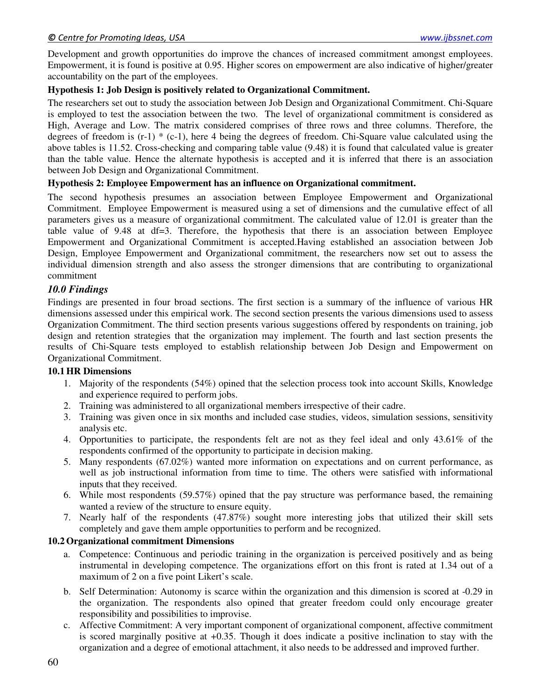Development and growth opportunities do improve the chances of increased commitment amongst employees. Empowerment, it is found is positive at 0.95. Higher scores on empowerment are also indicative of higher/greater accountability on the part of the employees.

#### **Hypothesis 1: Job Design is positively related to Organizational Commitment.**

The researchers set out to study the association between Job Design and Organizational Commitment. Chi-Square is employed to test the association between the two. The level of organizational commitment is considered as High, Average and Low. The matrix considered comprises of three rows and three columns. Therefore, the degrees of freedom is  $(r-1)$  \*  $(c-1)$ , here 4 being the degrees of freedom. Chi-Square value calculated using the above tables is 11.52. Cross-checking and comparing table value (9.48) it is found that calculated value is greater than the table value. Hence the alternate hypothesis is accepted and it is inferred that there is an association between Job Design and Organizational Commitment.

### **Hypothesis 2: Employee Empowerment has an influence on Organizational commitment.**

The second hypothesis presumes an association between Employee Empowerment and Organizational Commitment. Employee Empowerment is measured using a set of dimensions and the cumulative effect of all parameters gives us a measure of organizational commitment. The calculated value of 12.01 is greater than the table value of 9.48 at df=3. Therefore, the hypothesis that there is an association between Employee Empowerment and Organizational Commitment is accepted.Having established an association between Job Design, Employee Empowerment and Organizational commitment, the researchers now set out to assess the individual dimension strength and also assess the stronger dimensions that are contributing to organizational commitment

### *10.0 Findings*

Findings are presented in four broad sections. The first section is a summary of the influence of various HR dimensions assessed under this empirical work. The second section presents the various dimensions used to assess Organization Commitment. The third section presents various suggestions offered by respondents on training, job design and retention strategies that the organization may implement. The fourth and last section presents the results of Chi-Square tests employed to establish relationship between Job Design and Empowerment on Organizational Commitment.

#### **10.1HR Dimensions**

- 1. Majority of the respondents (54%) opined that the selection process took into account Skills, Knowledge and experience required to perform jobs.
- 2. Training was administered to all organizational members irrespective of their cadre.
- 3. Training was given once in six months and included case studies, videos, simulation sessions, sensitivity analysis etc.
- 4. Opportunities to participate, the respondents felt are not as they feel ideal and only 43.61% of the respondents confirmed of the opportunity to participate in decision making.
- 5. Many respondents (67.02%) wanted more information on expectations and on current performance, as well as job instructional information from time to time. The others were satisfied with informational inputs that they received.
- 6. While most respondents (59.57%) opined that the pay structure was performance based, the remaining wanted a review of the structure to ensure equity.
- 7. Nearly half of the respondents (47.87%) sought more interesting jobs that utilized their skill sets completely and gave them ample opportunities to perform and be recognized.

#### **10.2Organizational commitment Dimensions**

- a. Competence: Continuous and periodic training in the organization is perceived positively and as being instrumental in developing competence. The organizations effort on this front is rated at 1.34 out of a maximum of 2 on a five point Likert's scale.
- b. Self Determination: Autonomy is scarce within the organization and this dimension is scored at -0.29 in the organization. The respondents also opined that greater freedom could only encourage greater responsibility and possibilities to improvise.
- c. Affective Commitment: A very important component of organizational component, affective commitment is scored marginally positive at +0.35. Though it does indicate a positive inclination to stay with the organization and a degree of emotional attachment, it also needs to be addressed and improved further.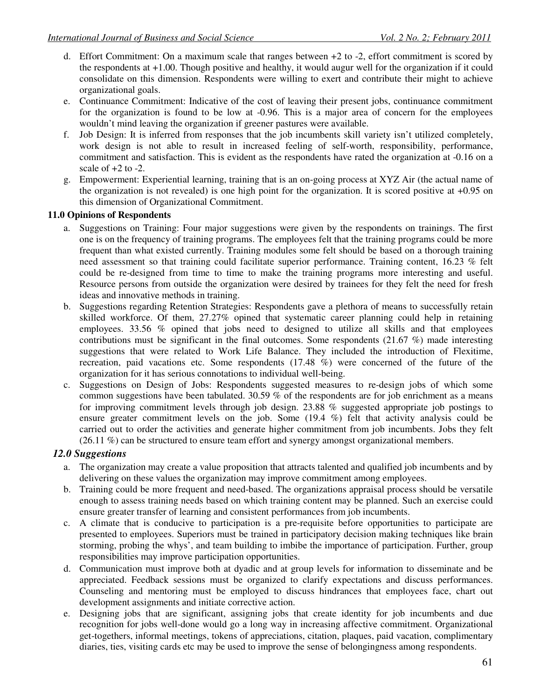- d. Effort Commitment: On a maximum scale that ranges between +2 to -2, effort commitment is scored by the respondents at +1.00. Though positive and healthy, it would augur well for the organization if it could consolidate on this dimension. Respondents were willing to exert and contribute their might to achieve organizational goals.
- e. Continuance Commitment: Indicative of the cost of leaving their present jobs, continuance commitment for the organization is found to be low at -0.96. This is a major area of concern for the employees wouldn't mind leaving the organization if greener pastures were available.
- f. Job Design: It is inferred from responses that the job incumbents skill variety isn't utilized completely, work design is not able to result in increased feeling of self-worth, responsibility, performance, commitment and satisfaction. This is evident as the respondents have rated the organization at -0.16 on a scale of  $+2$  to  $-2$ .
- g. Empowerment: Experiential learning, training that is an on-going process at XYZ Air (the actual name of the organization is not revealed) is one high point for the organization. It is scored positive at  $+0.95$  on this dimension of Organizational Commitment.

#### **11.0 Opinions of Respondents**

- a. Suggestions on Training: Four major suggestions were given by the respondents on trainings. The first one is on the frequency of training programs. The employees felt that the training programs could be more frequent than what existed currently. Training modules some felt should be based on a thorough training need assessment so that training could facilitate superior performance. Training content, 16.23 % felt could be re-designed from time to time to make the training programs more interesting and useful. Resource persons from outside the organization were desired by trainees for they felt the need for fresh ideas and innovative methods in training.
- b. Suggestions regarding Retention Strategies: Respondents gave a plethora of means to successfully retain skilled workforce. Of them, 27.27% opined that systematic career planning could help in retaining employees. 33.56 % opined that jobs need to designed to utilize all skills and that employees contributions must be significant in the final outcomes. Some respondents (21.67 %) made interesting suggestions that were related to Work Life Balance. They included the introduction of Flexitime, recreation, paid vacations etc. Some respondents (17.48 %) were concerned of the future of the organization for it has serious connotations to individual well-being.
- c. Suggestions on Design of Jobs: Respondents suggested measures to re-design jobs of which some common suggestions have been tabulated. 30.59 % of the respondents are for job enrichment as a means for improving commitment levels through job design. 23.88 % suggested appropriate job postings to ensure greater commitment levels on the job. Some (19.4 %) felt that activity analysis could be carried out to order the activities and generate higher commitment from job incumbents. Jobs they felt (26.11 %) can be structured to ensure team effort and synergy amongst organizational members.

#### *12.0 Suggestions*

- a. The organization may create a value proposition that attracts talented and qualified job incumbents and by delivering on these values the organization may improve commitment among employees.
- b. Training could be more frequent and need-based. The organizations appraisal process should be versatile enough to assess training needs based on which training content may be planned. Such an exercise could ensure greater transfer of learning and consistent performances from job incumbents.
- c. A climate that is conducive to participation is a pre-requisite before opportunities to participate are presented to employees. Superiors must be trained in participatory decision making techniques like brain storming, probing the whys', and team building to imbibe the importance of participation. Further, group responsibilities may improve participation opportunities.
- d. Communication must improve both at dyadic and at group levels for information to disseminate and be appreciated. Feedback sessions must be organized to clarify expectations and discuss performances. Counseling and mentoring must be employed to discuss hindrances that employees face, chart out development assignments and initiate corrective action.
- e. Designing jobs that are significant, assigning jobs that create identity for job incumbents and due recognition for jobs well-done would go a long way in increasing affective commitment. Organizational get-togethers, informal meetings, tokens of appreciations, citation, plaques, paid vacation, complimentary diaries, ties, visiting cards etc may be used to improve the sense of belongingness among respondents.